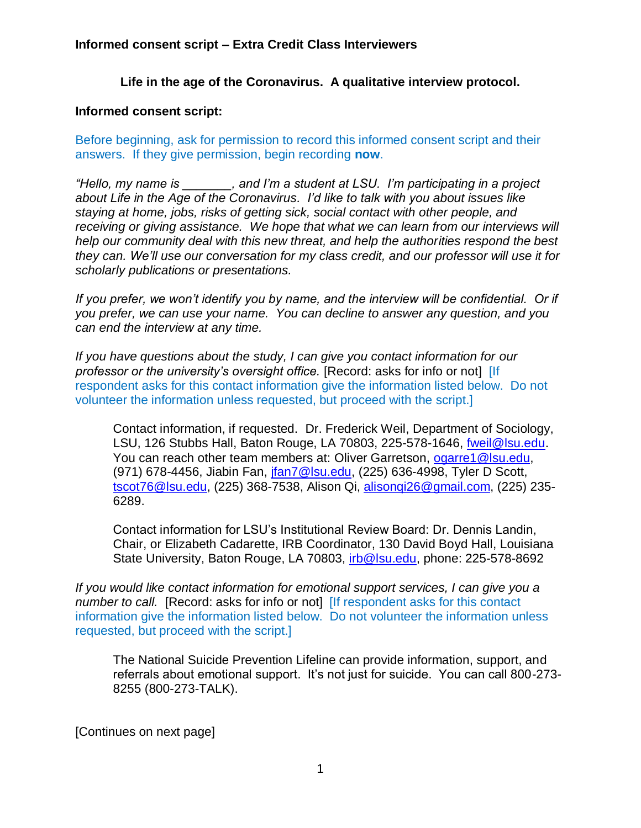## **Informed consent script – Extra Credit Class Interviewers**

## **Life in the age of the Coronavirus. A qualitative interview protocol.**

## **Informed consent script:**

Before beginning, ask for permission to record this informed consent script and their answers. If they give permission, begin recording **now**.

*"Hello, my name is \_\_\_\_\_\_\_, and I'm a student at LSU. I'm participating in a project about Life in the Age of the Coronavirus. I'd like to talk with you about issues like staying at home, jobs, risks of getting sick, social contact with other people, and receiving or giving assistance. We hope that what we can learn from our interviews will help our community deal with this new threat, and help the authorities respond the best they can. We'll use our conversation for my class credit, and our professor will use it for scholarly publications or presentations.*

If you prefer, we won't identify you by name, and the interview will be confidential. Or if *you prefer, we can use your name. You can decline to answer any question, and you can end the interview at any time.* 

*If you have questions about the study, I can give you contact information for our professor or the university's oversight office.* [Record: asks for info or not][If respondent asks for this contact information give the information listed below. Do not volunteer the information unless requested, but proceed with the script.]

Contact information, if requested. Dr. Frederick Weil, Department of Sociology, LSU, 126 Stubbs Hall, Baton Rouge, LA 70803, 225-578-1646, [fweil@lsu.edu.](mailto:fweil@lsu.edu) You can reach other team members at: Oliver Garretson, [ogarre1@lsu.edu,](mailto:ogarre1@lsu.edu) (971) 678-4456, Jiabin Fan, *jfan7*@lsu.edu, (225) 636-4998, Tyler D Scott, [tscot76@lsu.edu,](mailto:tscot76@lsu.edu) (225) 368-7538, Alison Qi, [alisonqi26@gmail.com,](mailto:alisonqi26@gmail.com) (225) 235- 6289.

Contact information for LSU's Institutional Review Board: Dr. Dennis Landin, Chair, or Elizabeth Cadarette, IRB Coordinator, 130 David Boyd Hall, Louisiana State University, Baton Rouge, LA 70803, [irb@lsu.edu,](mailto:irb@lsu.edu) phone: 225-578-8692

*If you would like contact information for emotional support services, I can give you a number to call.* [Record: asks for info or not] **[If respondent asks for this contact** information give the information listed below. Do not volunteer the information unless requested, but proceed with the script.]

The National Suicide Prevention Lifeline can provide information, support, and referrals about emotional support. It's not just for suicide. You can call 800-273- 8255 (800-273-TALK).

[Continues on next page]